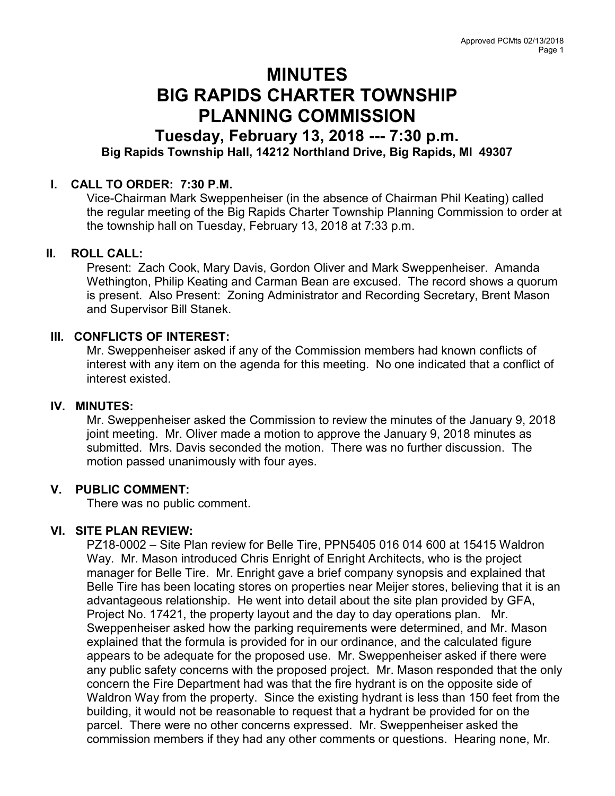# MINUTES BIG RAPIDS CHARTER TOWNSHIP PLANNING COMMISSION

## Tuesday, February 13, 2018 --- 7:30 p.m. Big Rapids Township Hall, 14212 Northland Drive, Big Rapids, MI 49307

#### I. CALL TO ORDER: 7:30 P.M.

Vice-Chairman Mark Sweppenheiser (in the absence of Chairman Phil Keating) called the regular meeting of the Big Rapids Charter Township Planning Commission to order at the township hall on Tuesday, February 13, 2018 at 7:33 p.m.

#### II. ROLL CALL:

Present: Zach Cook, Mary Davis, Gordon Oliver and Mark Sweppenheiser. Amanda Wethington, Philip Keating and Carman Bean are excused. The record shows a quorum is present. Also Present: Zoning Administrator and Recording Secretary, Brent Mason and Supervisor Bill Stanek.

### III. CONFLICTS OF INTEREST:

Mr. Sweppenheiser asked if any of the Commission members had known conflicts of interest with any item on the agenda for this meeting. No one indicated that a conflict of interest existed.

#### IV. MINUTES:

Mr. Sweppenheiser asked the Commission to review the minutes of the January 9, 2018 joint meeting. Mr. Oliver made a motion to approve the January 9, 2018 minutes as submitted. Mrs. Davis seconded the motion. There was no further discussion. The motion passed unanimously with four ayes.

#### V. PUBLIC COMMENT:

There was no public comment.

#### VI. SITE PLAN REVIEW:

PZ18-0002 – Site Plan review for Belle Tire, PPN5405 016 014 600 at 15415 Waldron Way. Mr. Mason introduced Chris Enright of Enright Architects, who is the project manager for Belle Tire. Mr. Enright gave a brief company synopsis and explained that Belle Tire has been locating stores on properties near Meijer stores, believing that it is an advantageous relationship. He went into detail about the site plan provided by GFA, Project No. 17421, the property layout and the day to day operations plan. Mr. Sweppenheiser asked how the parking requirements were determined, and Mr. Mason explained that the formula is provided for in our ordinance, and the calculated figure appears to be adequate for the proposed use. Mr. Sweppenheiser asked if there were any public safety concerns with the proposed project. Mr. Mason responded that the only concern the Fire Department had was that the fire hydrant is on the opposite side of Waldron Way from the property. Since the existing hydrant is less than 150 feet from the building, it would not be reasonable to request that a hydrant be provided for on the parcel. There were no other concerns expressed. Mr. Sweppenheiser asked the commission members if they had any other comments or questions. Hearing none, Mr.